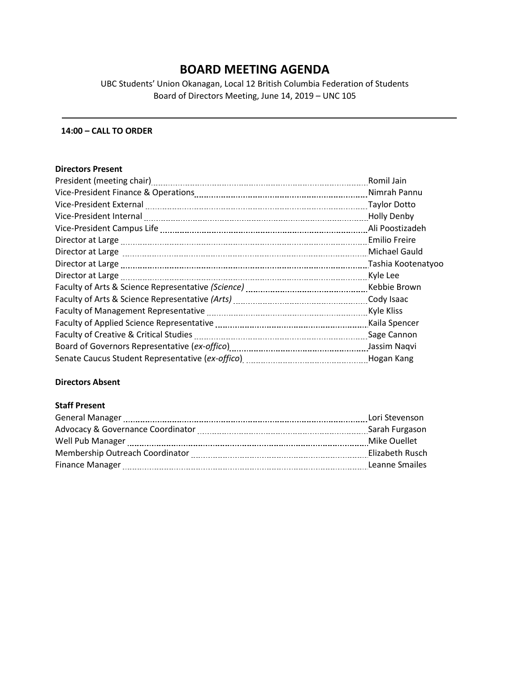# **BOARD MEETING AGENDA**

UBC Students' Union Okanagan, Local 12 British Columbia Federation of Students Board of Directors Meeting, June 14, 2019 – UNC 105

## **14:00 – CALL TO ORDER**

#### **Directors Present**

| Romil Jain           |
|----------------------|
| Nimrah Pannu         |
| <b>Taylor Dotto</b>  |
| <b>Holly Denby</b>   |
| Ali Poostizadeh      |
| <b>Emilio Freire</b> |
| <b>Michael Gauld</b> |
| Tashia Kootenatyoo   |
| Kyle Lee             |
| Kebbie Brown         |
|                      |
| Kyle Kliss           |
| Kaila Spencer        |
| Sage Cannon          |
| Jassim Naqvi         |
| Hogan Kang           |

# **Directors Absent**

## **Staff Present**

| <b>General Manager</b>                                                                                         | Lori Stevenson  |
|----------------------------------------------------------------------------------------------------------------|-----------------|
|                                                                                                                | Sarah Furgason  |
| Well Pub Manager                                                                                               | Mike Ouellet    |
| Membership Outreach Coordinator [11] Membership Outreach Coordinator [11] Membership Outreach Coordinator [11] | Elizabeth Rusch |
|                                                                                                                | Leanne Smailes  |
|                                                                                                                |                 |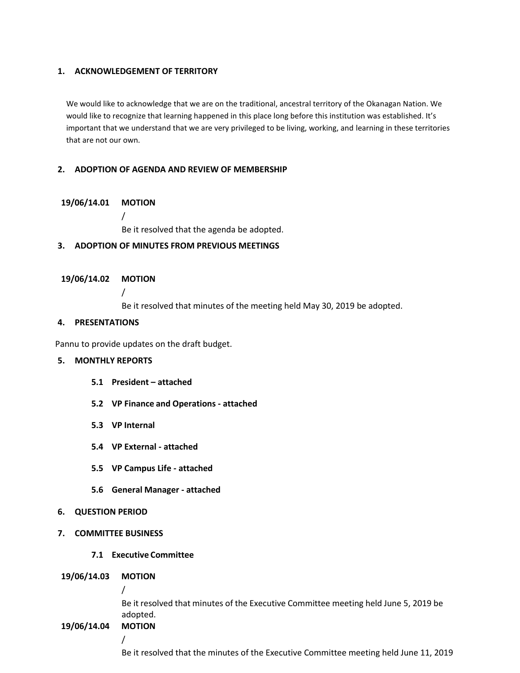#### **1. ACKNOWLEDGEMENT OF TERRITORY**

We would like to acknowledge that we are on the traditional, ancestral territory of the Okanagan Nation. We would like to recognize that learning happened in this place long before this institution was established. It's important that we understand that we are very privileged to be living, working, and learning in these territories that are not our own.

#### **2. ADOPTION OF AGENDA AND REVIEW OF MEMBERSHIP**

#### **19/06/14.01 MOTION**

/

Be it resolved that the agenda be adopted.

## **3. ADOPTION OF MINUTES FROM PREVIOUS MEETINGS**

#### **19/06/14.02 MOTION**

/

Be it resolved that minutes of the meeting held May 30, 2019 be adopted.

# **4. PRESENTATIONS**

Pannu to provide updates on the draft budget.

# **5. MONTHLY REPORTS**

- **5.1 President – attached**
- **5.2 VP Finance and Operations - attached**
- **5.3 VP Internal**
- **5.4 VP External - attached**
- **5.5 VP Campus Life - attached**
- **5.6 General Manager - attached**
- **6. QUESTION PERIOD**
- **7. COMMITTEE BUSINESS**
	- **7.1 Executive Committee**

#### **19/06/14.03 MOTION**

/

Be it resolved that minutes of the Executive Committee meeting held June 5, 2019 be adopted.

**19/06/14.04 MOTION**

/

Be it resolved that the minutes of the Executive Committee meeting held June 11, 2019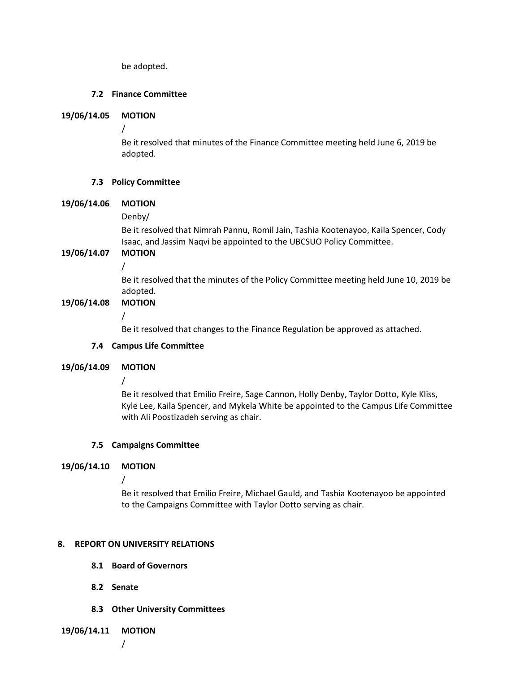be adopted.

# **7.2 Finance Committee**

#### **19/06/14.05 MOTION**

/

Be it resolved that minutes of the Finance Committee meeting held June 6, 2019 be adopted.

## **7.3 Policy Committee**

## **19/06/14.06 MOTION**

Denby/

Be it resolved that Nimrah Pannu, Romil Jain, Tashia Kootenayoo, Kaila Spencer, Cody Isaac, and Jassim Naqvi be appointed to the UBCSUO Policy Committee.

**19/06/14.07 MOTION** / Be it resolved that the minutes of the Policy Committee meeting held June 10, 2019 be

#### adopted. **19/06/14.08 MOTION**

/

Be it resolved that changes to the Finance Regulation be approved as attached.

## **7.4 Campus Life Committee**

## **19/06/14.09 MOTION**

/

Be it resolved that Emilio Freire, Sage Cannon, Holly Denby, Taylor Dotto, Kyle Kliss, Kyle Lee, Kaila Spencer, and Mykela White be appointed to the Campus Life Committee with Ali Poostizadeh serving as chair.

## **7.5 Campaigns Committee**

# **19/06/14.10 MOTION**

/

Be it resolved that Emilio Freire, Michael Gauld, and Tashia Kootenayoo be appointed to the Campaigns Committee with Taylor Dotto serving as chair.

## **8. REPORT ON UNIVERSITY RELATIONS**

- **8.1 Board of Governors**
- **8.2 Senate**
- **8.3 Other University Committees**

**19/06/14.11 MOTION**

/